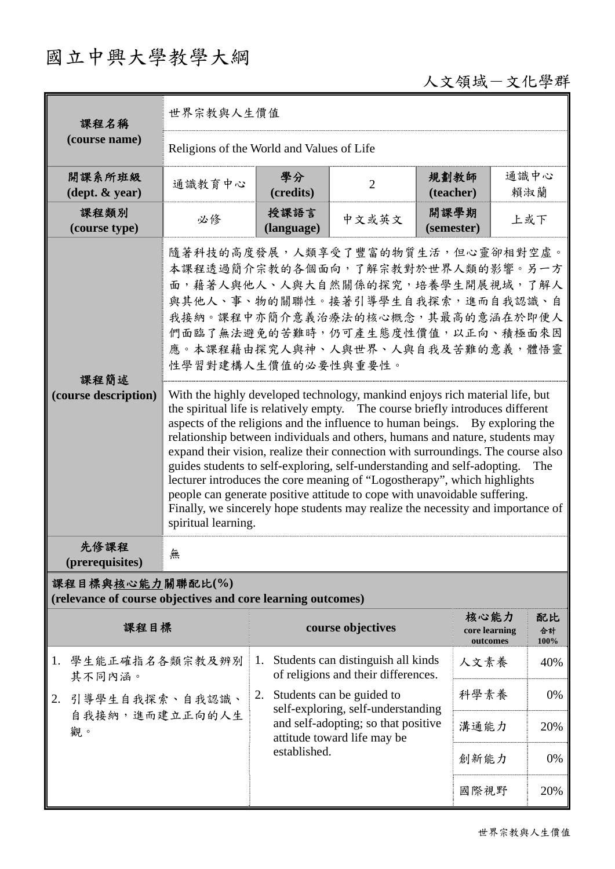## 國立中興大學教學大綱

## 人文領域-文化學群

| 課程名稱                                                                            | 世界宗教與人生價值                                                                                                                                                                                                                                                                                                                                                                                                                                                                                                                                                                                                                                                                                                                                                                                                                                                                                                                                                                                                                                                    |                              |                                                                                                          |                       |                              |  |  |
|---------------------------------------------------------------------------------|--------------------------------------------------------------------------------------------------------------------------------------------------------------------------------------------------------------------------------------------------------------------------------------------------------------------------------------------------------------------------------------------------------------------------------------------------------------------------------------------------------------------------------------------------------------------------------------------------------------------------------------------------------------------------------------------------------------------------------------------------------------------------------------------------------------------------------------------------------------------------------------------------------------------------------------------------------------------------------------------------------------------------------------------------------------|------------------------------|----------------------------------------------------------------------------------------------------------|-----------------------|------------------------------|--|--|
| (course name)                                                                   | Religions of the World and Values of Life                                                                                                                                                                                                                                                                                                                                                                                                                                                                                                                                                                                                                                                                                                                                                                                                                                                                                                                                                                                                                    |                              |                                                                                                          |                       |                              |  |  |
| 開課系所班級<br>$(\text{dept.} \& \text{ year})$                                      | 通識教育中心                                                                                                                                                                                                                                                                                                                                                                                                                                                                                                                                                                                                                                                                                                                                                                                                                                                                                                                                                                                                                                                       | 學分<br>(credits)              | $\overline{2}$                                                                                           | 規劃教師<br>(teacher)     | 通識中心<br>賴淑蘭                  |  |  |
| 課程類別<br>(course type)                                                           | 必修                                                                                                                                                                                                                                                                                                                                                                                                                                                                                                                                                                                                                                                                                                                                                                                                                                                                                                                                                                                                                                                           | 授課語言<br>(language)           | 中文或英文                                                                                                    | 開課學期<br>(semester)    | 上或下                          |  |  |
| 課程簡述<br>(course description)                                                    | 隨著科技的高度發展,人類享受了豐富的物質生活,但心靈卻相對空虛。<br>本課程透過簡介宗教的各個面向,了解宗教對於世界人類的影響。另一方<br>面,藉著人與他人、人與大自然關係的探究,培養學生開展視域,了解人<br>與其他人、事、物的關聯性。接著引導學生自我探索,進而自我認識、自<br>我接納。課程中亦簡介意義治療法的核心概念,其最高的意涵在於即便人<br>們面臨了無法避免的苦難時,仍可產生態度性價值,以正向、積極面來因<br>應。本課程藉由探究人與神、人與世界、人與自我及苦難的意義,體悟靈<br>性學習對建構人生價值的必要性與重要性。<br>With the highly developed technology, mankind enjoys rich material life, but<br>the spiritual life is relatively empty. The course briefly introduces different<br>aspects of the religions and the influence to human beings. By exploring the<br>relationship between individuals and others, humans and nature, students may<br>expand their vision, realize their connection with surroundings. The course also<br>guides students to self-exploring, self-understanding and self-adopting.<br>The<br>lecturer introduces the core meaning of "Logostherapy", which highlights<br>people can generate positive attitude to cope with unavoidable suffering.<br>Finally, we sincerely hope students may realize the necessity and importance of<br>spiritual learning. |                              |                                                                                                          |                       |                              |  |  |
| 先修課程<br>(prerequisites)                                                         | 無                                                                                                                                                                                                                                                                                                                                                                                                                                                                                                                                                                                                                                                                                                                                                                                                                                                                                                                                                                                                                                                            |                              |                                                                                                          |                       |                              |  |  |
| 課程目標與核心能力關聯配比(%)<br>(relevance of course objectives and core learning outcomes) |                                                                                                                                                                                                                                                                                                                                                                                                                                                                                                                                                                                                                                                                                                                                                                                                                                                                                                                                                                                                                                                              |                              |                                                                                                          |                       |                              |  |  |
| 課程目標                                                                            |                                                                                                                                                                                                                                                                                                                                                                                                                                                                                                                                                                                                                                                                                                                                                                                                                                                                                                                                                                                                                                                              |                              | course objectives                                                                                        | 核心能力<br>core learning | 配比<br>合計<br>outcomes<br>100% |  |  |
| 學生能正確指名各類宗教及辨別<br>1.<br>其不同內涵。                                                  |                                                                                                                                                                                                                                                                                                                                                                                                                                                                                                                                                                                                                                                                                                                                                                                                                                                                                                                                                                                                                                                              | 1.                           | Students can distinguish all kinds<br>of religions and their differences.                                | 人文素養                  | 40%                          |  |  |
| 引導學生自我探索、自我認識、<br>2.                                                            |                                                                                                                                                                                                                                                                                                                                                                                                                                                                                                                                                                                                                                                                                                                                                                                                                                                                                                                                                                                                                                                              | 2. Students can be guided to | self-exploring, self-understanding<br>and self-adopting; so that positive<br>attitude toward life may be | 科學素養                  | 0%                           |  |  |
| 自我接納,進而建立正向的人生<br>觀。                                                            |                                                                                                                                                                                                                                                                                                                                                                                                                                                                                                                                                                                                                                                                                                                                                                                                                                                                                                                                                                                                                                                              |                              |                                                                                                          | 溝通能力                  | 20%                          |  |  |
|                                                                                 |                                                                                                                                                                                                                                                                                                                                                                                                                                                                                                                                                                                                                                                                                                                                                                                                                                                                                                                                                                                                                                                              | established.                 |                                                                                                          | 創新能力                  | 0%                           |  |  |
|                                                                                 |                                                                                                                                                                                                                                                                                                                                                                                                                                                                                                                                                                                                                                                                                                                                                                                                                                                                                                                                                                                                                                                              |                              |                                                                                                          | 國際視野                  | 20%                          |  |  |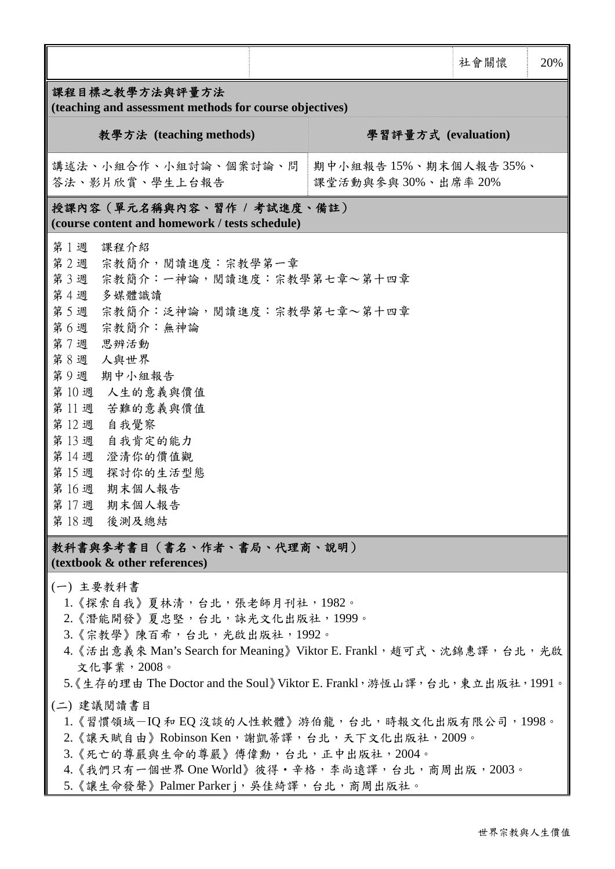|                                                                                                                                                                                                                                                                                                                                                                                                                                                                                                                                                          |                                           | 社會關懷 | 20% |  |  |  |  |  |
|----------------------------------------------------------------------------------------------------------------------------------------------------------------------------------------------------------------------------------------------------------------------------------------------------------------------------------------------------------------------------------------------------------------------------------------------------------------------------------------------------------------------------------------------------------|-------------------------------------------|------|-----|--|--|--|--|--|
| 課程目標之教學方法與評量方法<br>(teaching and assessment methods for course objectives)                                                                                                                                                                                                                                                                                                                                                                                                                                                                                |                                           |      |     |  |  |  |  |  |
| 教學方法 (teaching methods)                                                                                                                                                                                                                                                                                                                                                                                                                                                                                                                                  | 學習評量方式 (evaluation)                       |      |     |  |  |  |  |  |
| 講述法、小組合作、小組討論、個案討論、問<br>答法、影片欣賞、學生上台報告                                                                                                                                                                                                                                                                                                                                                                                                                                                                                                                   | 期中小組報告15%、期末個人報告35%、<br>課堂活動與參與30%、出席率20% |      |     |  |  |  |  |  |
| 授課內容(單元名稱與內容、習作 / 考試進度、備註)<br>(course content and homework / tests schedule)                                                                                                                                                                                                                                                                                                                                                                                                                                                                             |                                           |      |     |  |  |  |  |  |
| 第1週<br>課程介紹<br>第2週 宗教簡介,閱讀進度:宗教學第一章<br>宗教簡介:一神論,閱讀進度:宗教學第七章~第十四章<br>第3週<br>第4週<br>多媒體識讀<br>第5週 宗教簡介:泛神論,閱讀進度:宗教學第七章~第十四章<br>第6週 宗教簡介:無神論<br>第7週<br>思辨活動<br>第8週<br>人與世界<br>第9週<br>期中小組報告<br>第10週 人生的意義與價值<br>第11週 苦難的意義與價值<br>第12週 自我覺察<br>第13週 自我肯定的能力<br>第14週<br>澄清你的價值觀<br>第15週 探討你的生活型態<br>第16週<br>期末個人報告<br>第17週 期末個人報告<br>第18週 後測及總結                                                                                                                                                                                                                |                                           |      |     |  |  |  |  |  |
| 教科書與參考書目(書名、作者、書局、代理商、說明)<br>(textbook & other references)                                                                                                                                                                                                                                                                                                                                                                                                                                                                                               |                                           |      |     |  |  |  |  |  |
| (一) 主要教科書<br>1. 《探索自我》夏林清, 台北, 張老師月刊社, 1982。<br>2. 《潛能開發》夏忠堅,台北,詠光文化出版社,1999。<br>3. 《宗教學》陳百希, 台北, 光啟出版社, 1992。<br>4. 《活出意義來 Man's Search for Meaning》Viktor E. Frankl, 趙可式、沈錦惠譯, 台北, 光啟<br>文化事業,2008。<br>5.《生存的理由 The Doctor and the Soul》Viktor E. Frankl, 游恆山譯, 台北, 東立出版社, 1991。<br>(二)建議閱讀書目<br>1. 《習慣領域-IQ 和 EQ 沒談的人性軟體》游伯龍, 台北, 時報文化出版有限公司, 1998。<br>2. 《讓天賦自由》Robinson Ken, 謝凱蒂譯, 台北, 天下文化出版社, 2009。<br>3. 《死亡的尊嚴與生命的尊嚴》傅偉勳, 台北, 正中出版社, 2004。<br>4. 《我們只有一個世界 One World》彼得·辛格, 李尚遠譯, 台北, 商周出版, 2003。<br>5. 《讓生命發聲》Palmer Parkerj, 吳佳綺譯, 台北, 商周出版社。 |                                           |      |     |  |  |  |  |  |